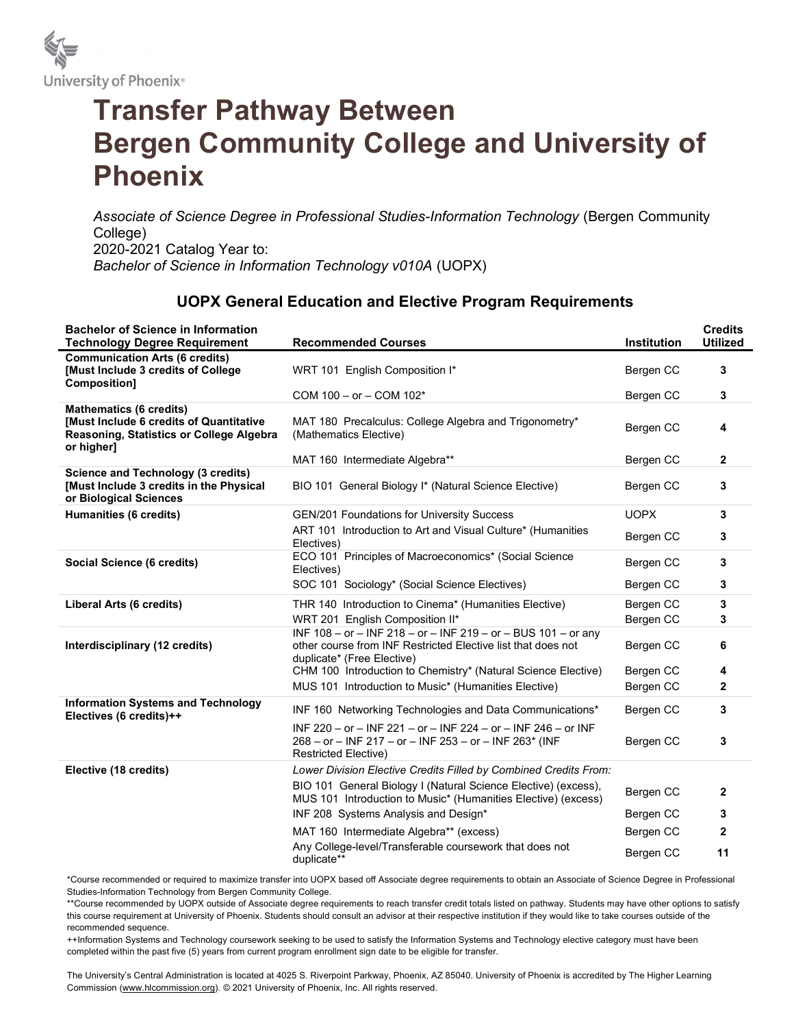

## Transfer Pathway Between Bergen Community College and University of Phoenix

Associate of Science Degree in Professional Studies-Information Technology (Bergen Community College) 2020-2021 Catalog Year to: Bachelor of Science in Information Technology v010A (UOPX)

## UOPX General Education and Elective Program Requirements

| <b>Bachelor of Science in Information</b><br><b>Technology Degree Requirement</b>                                                   | <b>Recommended Courses</b>                                                                                                                                    | <b>Institution</b> | <b>Credits</b><br><b>Utilized</b> |
|-------------------------------------------------------------------------------------------------------------------------------------|---------------------------------------------------------------------------------------------------------------------------------------------------------------|--------------------|-----------------------------------|
| <b>Communication Arts (6 credits)</b><br>[Must Include 3 credits of College]<br>Composition]                                        | WRT 101 English Composition I*                                                                                                                                | Bergen CC          | 3                                 |
|                                                                                                                                     | COM 100 - or - COM 102*                                                                                                                                       | Bergen CC          | 3                                 |
| <b>Mathematics (6 credits)</b><br>[Must Include 6 credits of Quantitative<br>Reasoning, Statistics or College Algebra<br>or higher] | MAT 180 Precalculus: College Algebra and Trigonometry*<br>(Mathematics Elective)                                                                              | Bergen CC          | 4                                 |
|                                                                                                                                     | MAT 160 Intermediate Algebra**                                                                                                                                | Bergen CC          | $\mathbf{2}$                      |
| <b>Science and Technology (3 credits)</b><br>[Must Include 3 credits in the Physical<br>or Biological Sciences                      | BIO 101 General Biology I* (Natural Science Elective)                                                                                                         | Bergen CC          | 3                                 |
| Humanities (6 credits)                                                                                                              | GEN/201 Foundations for University Success                                                                                                                    | <b>UOPX</b>        | 3                                 |
|                                                                                                                                     | ART 101 Introduction to Art and Visual Culture* (Humanities<br>Electives)                                                                                     | Bergen CC          | 3                                 |
| Social Science (6 credits)                                                                                                          | ECO 101 Principles of Macroeconomics* (Social Science<br>Electives)                                                                                           | Bergen CC          | $\mathbf{3}$                      |
|                                                                                                                                     | SOC 101 Sociology* (Social Science Electives)                                                                                                                 | Bergen CC          | 3                                 |
| Liberal Arts (6 credits)                                                                                                            | THR 140 Introduction to Cinema* (Humanities Elective)                                                                                                         | Bergen CC          | $\mathbf{3}$                      |
|                                                                                                                                     | WRT 201 English Composition II*                                                                                                                               | Bergen CC          | 3                                 |
| Interdisciplinary (12 credits)                                                                                                      | INF $108 - or - INF 218 - or - INF 219 - or - BUS 101 - or any$<br>other course from INF Restricted Elective list that does not<br>duplicate* (Free Elective) | Bergen CC          | 6                                 |
|                                                                                                                                     | CHM 100 Introduction to Chemistry* (Natural Science Elective)                                                                                                 | Bergen CC          | 4                                 |
|                                                                                                                                     | MUS 101 Introduction to Music* (Humanities Elective)                                                                                                          | Bergen CC          | $\overline{2}$                    |
| <b>Information Systems and Technology</b><br>Electives (6 credits)++                                                                | INF 160 Networking Technologies and Data Communications*                                                                                                      | Bergen CC          | 3                                 |
|                                                                                                                                     | INF 220 - or - INF 221 - or - INF 224 - or - INF 246 - or INF<br>268 - or - INF 217 - or - INF 253 - or - INF 263* (INF<br><b>Restricted Elective)</b>        | Bergen CC          | 3                                 |
| Elective (18 credits)                                                                                                               | Lower Division Elective Credits Filled by Combined Credits From:                                                                                              |                    |                                   |
|                                                                                                                                     | BIO 101 General Biology I (Natural Science Elective) (excess),<br>MUS 101 Introduction to Music* (Humanities Elective) (excess)                               | Bergen CC          | $\mathbf{2}$                      |
|                                                                                                                                     | INF 208 Systems Analysis and Design*                                                                                                                          | Bergen CC          | 3                                 |
|                                                                                                                                     | MAT 160 Intermediate Algebra** (excess)                                                                                                                       | Bergen CC          | $\mathbf{2}$                      |
|                                                                                                                                     | Any College-level/Transferable coursework that does not<br>duplicate**                                                                                        | Bergen CC          | 11                                |

\*Course recommended or required to maximize transfer into UOPX based off Associate degree requirements to obtain an Associate of Science Degree in Professional Studies-Information Technology from Bergen Community College.

\*\*Course recommended by UOPX outside of Associate degree requirements to reach transfer credit totals listed on pathway. Students may have other options to satisfy this course requirement at University of Phoenix. Students should consult an advisor at their respective institution if they would like to take courses outside of the recommended sequence.

++Information Systems and Technology coursework seeking to be used to satisfy the Information Systems and Technology elective category must have been completed within the past five (5) years from current program enrollment sign date to be eligible for transfer.

The University's Central Administration is located at 4025 S. Riverpoint Parkway, Phoenix, AZ 85040. University of Phoenix is accredited by The Higher Learning Commission (www.hlcommission.org). © 2021 University of Phoenix, Inc. All rights reserved.